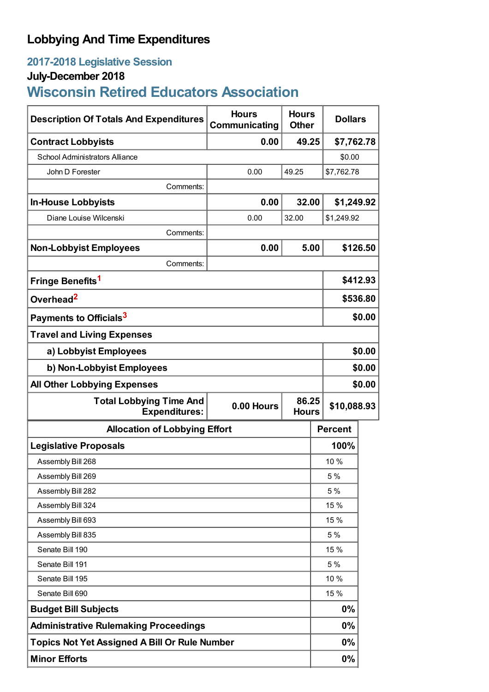### **Lobbying And Time Expenditures**

## **2017-2018 Legislative Session**

# **July-December 2018**

# **Wisconsin Retired Educators Association**

| <b>Description Of Totals And Expenditures</b>          | <b>Hours</b><br>Communicating       | <b>Hours</b><br><b>Other</b> | <b>Dollars</b> |          |
|--------------------------------------------------------|-------------------------------------|------------------------------|----------------|----------|
| <b>Contract Lobbyists</b>                              | 0.00                                | 49.25                        | \$7,762.78     |          |
| <b>School Administrators Alliance</b>                  |                                     |                              | \$0.00         |          |
| John D Forester                                        | 0.00                                | 49.25                        | \$7,762.78     |          |
| Comments:                                              |                                     |                              |                |          |
| <b>In-House Lobbyists</b>                              | 0.00                                | 32.00                        | \$1,249.92     |          |
| Diane Louise Wilcenski                                 | 0.00                                | 32.00                        | \$1,249.92     |          |
| Comments:                                              |                                     |                              |                |          |
| <b>Non-Lobbyist Employees</b>                          | 0.00                                | 5.00                         |                | \$126.50 |
| Comments:                                              |                                     |                              |                |          |
| Fringe Benefits <sup>1</sup>                           |                                     |                              |                | \$412.93 |
| Overhead <sup>2</sup>                                  |                                     |                              | \$536.80       |          |
| Payments to Officials <sup>3</sup>                     |                                     |                              | \$0.00         |          |
| <b>Travel and Living Expenses</b>                      |                                     |                              |                |          |
| a) Lobbyist Employees                                  |                                     |                              |                | \$0.00   |
| b) Non-Lobbyist Employees                              |                                     |                              | \$0.00         |          |
| <b>All Other Lobbying Expenses</b>                     |                                     |                              |                | \$0.00   |
| <b>Total Lobbying Time And</b><br><b>Expenditures:</b> | 86.25<br>0.00 Hours<br><b>Hours</b> |                              | \$10,088.93    |          |
| <b>Allocation of Lobbying Effort</b>                   |                                     |                              | <b>Percent</b> |          |
| <b>Legislative Proposals</b>                           |                                     |                              | 100%           |          |
| Assembly Bill 268                                      |                                     |                              | 10%            |          |
| Assembly Bill 269                                      |                                     |                              | 5 %            |          |
| Assembly Bill 282                                      |                                     |                              | 5%             |          |
| Assembly Bill 324                                      |                                     |                              | 15 %           |          |
| Assembly Bill 693                                      |                                     |                              | 15 %           |          |
| Assembly Bill 835                                      |                                     |                              | 5 %            |          |
| Senate Bill 190                                        |                                     |                              | 15 %           |          |
| Senate Bill 191                                        |                                     |                              | 5 %            |          |
| Senate Bill 195                                        |                                     |                              | 10 %           |          |
| Senate Bill 690                                        |                                     |                              | 15 %           |          |
| <b>Budget Bill Subjects</b>                            |                                     |                              | 0%             |          |
| <b>Administrative Rulemaking Proceedings</b>           |                                     |                              | 0%             |          |
| <b>Topics Not Yet Assigned A Bill Or Rule Number</b>   |                                     |                              | 0%             |          |
| <b>Minor Efforts</b>                                   |                                     |                              | 0%             |          |